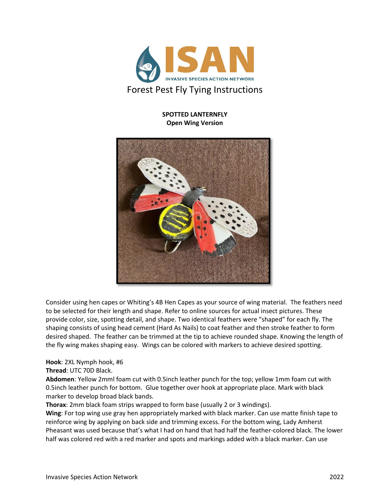

## **SPOTTED LANTERNFLY Open Wing Version**



Consider using hen capes or Whiting's 4B Hen Capes as your source of wing material. The feathers need to be selected for their length and shape. Refer to online sources for actual insect pictures. These provide color, size, spotting detail, and shape. Two identical feathers were "shaped" for each fly. The shaping consists of using head cement (Hard As Nails) to coat feather and then stroke feather to form desired shaped. The feather can be trimmed at the tip to achieve rounded shape. Knowing the length of the fly wing makes shaping easy. Wings can be colored with markers to achieve desired spotting.

**Hook**: 2XL Nymph hook, #6

**Thread**: UTC 70D Black.

**Abdomen**: Yellow 2mml foam cut with 0.5inch leather punch for the top; yellow 1mm foam cut with 0.5inch leather punch for bottom. Glue together over hook at appropriate place. Mark with black marker to develop broad black bands.

**Thorax**: 2mm black foam strips wrapped to form base (usually 2 or 3 windings).

**Wing**: For top wing use gray hen appropriately marked with black marker. Can use matte finish tape to reinforce wing by applying on back side and trimming excess. For the bottom wing, Lady Amherst Pheasant was used because that's what I had on hand that had half the feather-colored black. The lower half was colored red with a red marker and spots and markings added with a black marker. Can use